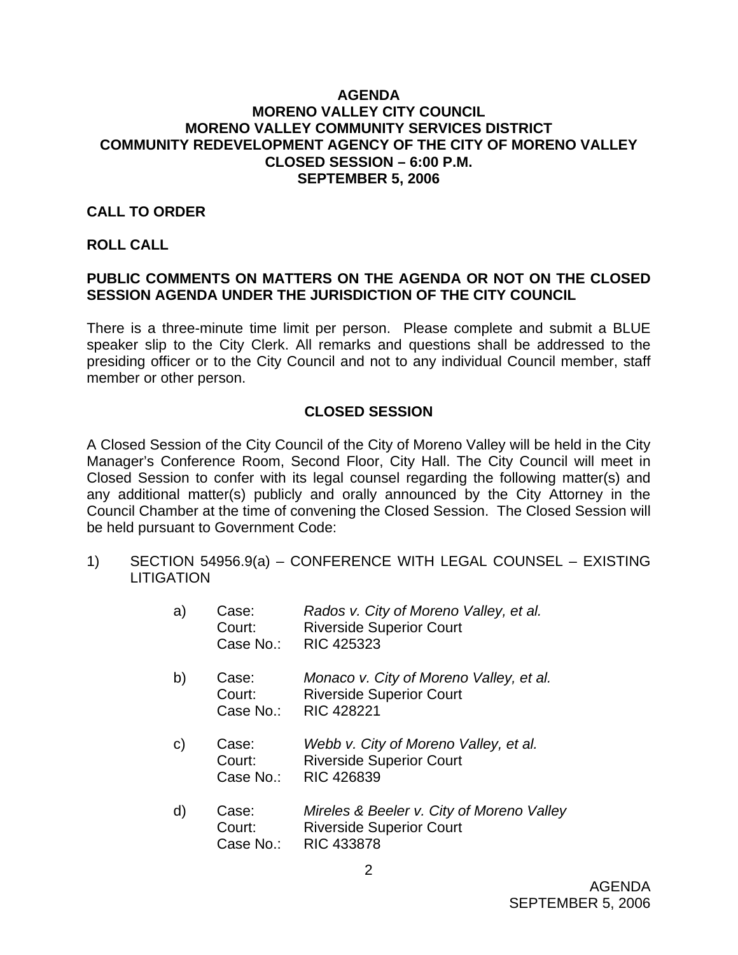### **AGENDA MORENO VALLEY CITY COUNCIL MORENO VALLEY COMMUNITY SERVICES DISTRICT COMMUNITY REDEVELOPMENT AGENCY OF THE CITY OF MORENO VALLEY CLOSED SESSION – 6:00 P.M. SEPTEMBER 5, 2006**

# **CALL TO ORDER**

#### **ROLL CALL**

# **PUBLIC COMMENTS ON MATTERS ON THE AGENDA OR NOT ON THE CLOSED SESSION AGENDA UNDER THE JURISDICTION OF THE CITY COUNCIL**

There is a three-minute time limit per person. Please complete and submit a BLUE speaker slip to the City Clerk. All remarks and questions shall be addressed to the presiding officer or to the City Council and not to any individual Council member, staff member or other person.

# **CLOSED SESSION**

A Closed Session of the City Council of the City of Moreno Valley will be held in the City Manager's Conference Room, Second Floor, City Hall. The City Council will meet in Closed Session to confer with its legal counsel regarding the following matter(s) and any additional matter(s) publicly and orally announced by the City Attorney in the Council Chamber at the time of convening the Closed Session. The Closed Session will be held pursuant to Government Code:

1) SECTION 54956.9(a) – CONFERENCE WITH LEGAL COUNSEL – EXISTING **LITIGATION** 

| a) | Case:<br>Court:<br>Case No.: | Rados v. City of Moreno Valley, et al.<br><b>Riverside Superior Court</b><br>RIC 425323         |
|----|------------------------------|-------------------------------------------------------------------------------------------------|
| b) | Case:<br>Court:<br>Case No.: | Monaco v. City of Moreno Valley, et al.<br><b>Riverside Superior Court</b><br><b>RIC 428221</b> |
| C) | Case:<br>Court:<br>Case No.: | Webb v. City of Moreno Valley, et al.<br><b>Riverside Superior Court</b><br>RIC 426839          |
| d) | Case:<br>Court:              | Mireles & Beeler v. City of Moreno Valley<br><b>Riverside Superior Court</b>                    |

Case No.: RIC 433878